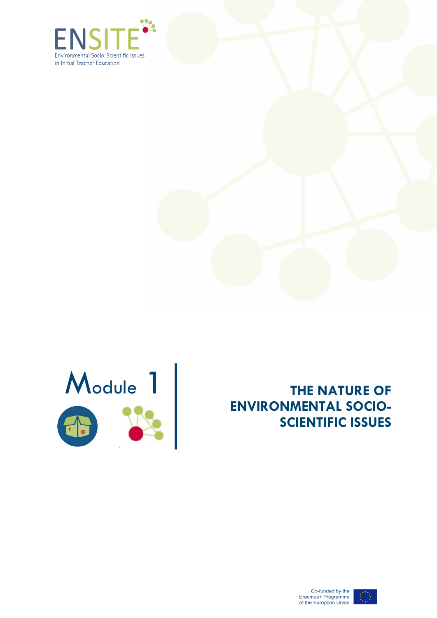





# **THE NATURE OF ENVIRONMENTAL SOCIO - SCIENTIFIC ISSUES**



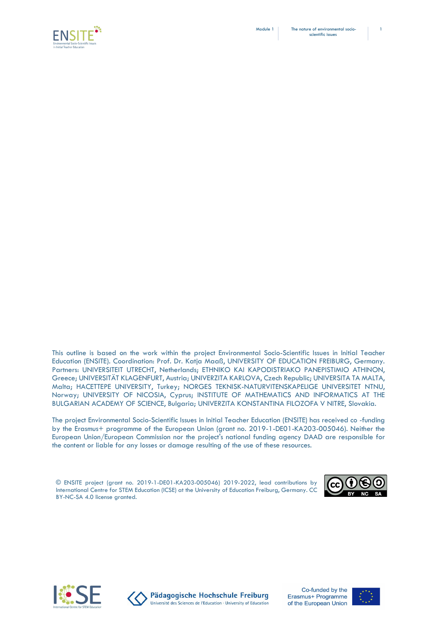



This outline is based on the work within the project Environmental Socio-Scientific Issues in Initial Teacher Education (ENSITE). Coordination: Prof. Dr. Katja Maaß, UNIVERSITY OF EDUCATION FREIBURG, Germany. Partners: UNIVERSITEIT UTRECHT, Netherlands; ETHNIKO KAI KAPODISTRIAKO PANEPISTIMIO ATHINON, Greece; UNIVERSITÄT KLAGENFURT, Austria; UNIVERZITA KARLOVA, Czech Republic; UNIVERSITA TA MALTA, Malta; HACETTEPE UNIVERSITY, Turkey; NORGES TEKNISK-NATURVITENSKAPELIGE UNIVERSITET NTNU, Norway; UNIVERSITY OF NICOSIA, Cyprus; INSTITUTE OF MATHEMATICS AND INFORMATICS AT THE BULGARIAN ACADEMY OF SCIENCE, Bulgaria; UNIVERZITA KONSTANTINA FILOZOFA V NITRE, Slovakia.

The project Environmental Socio-Scientific Issues in Initial Teacher Education (ENSITE) has received co -funding by the Erasmus+ programme of the European Union (grant no. 2019-1-DE01-KA203-005046). Neither the European Union/European Commission nor the project's national funding agency DAAD are responsible for the content or liable for any losses or damage resulting of the use of these resources.

© ENSITE project (grant no. 2019-1-DE01-KA203-005046) 2019-2022, lead contributions by International Centre for STEM Education (ICSE) at the University of Education Freiburg, Germany. CC BY-NC-SA 4.0 license granted.







Pädagogische Hochschule Freiburg Université des Sciences de l'Education · University of Education



1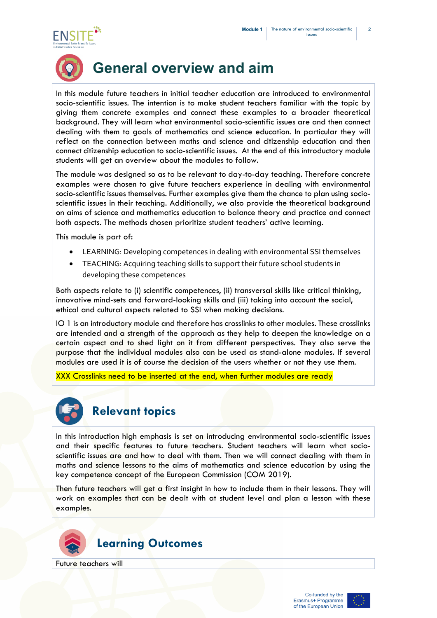2





# **General overview and aim**

In this module future teachers in initial teacher education are introduced to environmental socio-scientific issues. The intention is to make student teachers familiar with the topic by giving them concrete examples and connect these examples to a broader theoretical background. They will learn what environmental socio-scientific issues are and then connect dealing with them to goals of mathematics and science education. In particular they will reflect on the connection between maths and science and citizenship education and then connect citizenship education to socio-scientific issues. At the end of this introductory module students will get an overview about the modules to follow.

The module was designed so as to be relevant to day-to-day teaching. Therefore concrete examples were chosen to give future teachers experience in dealing with environmental socio-scientific issues themselves. Further examples give them the chance to plan using socioscientific issues in their teaching. Additionally, we also provide the theoretical background on aims of science and mathematics education to balance theory and practice and connect both aspects. The methods chosen prioritize student teachers' active learning.

This module is part of:

- LEARNING: Developing competences in dealing with environmental SSI themselves
- TEACHING: Acquiring teaching skills to support their future school students in developing these competences

Both aspects relate to (i) scientific competences, (ii) transversal skills like critical thinking, innovative mind-sets and forward-looking skills and (iii) taking into account the social, ethical and cultural aspects related to SSI when making decisions.

IO 1 is an introductory module and therefore has crosslinks to other modules. These crosslinks are intended and a strength of the approach as they help to deepen the knowledge on a certain aspect and to shed light on it from different perspectives. They also serve the purpose that the individual modules also can be used as stand-alone modules. If several modules are used it is of course the decision of the users whether or not they use them.

XXX Crosslinks need to be inserted at the end, when further modules are ready



### **Relevant topics**

In this introduction high emphasis is set on introducing environmental socio-scientific issues and their specific features to future teachers. Student teachers will learn what socioscientific issues are and how to deal with them. Then we will connect dealing with them in maths and science lessons to the aims of mathematics and science education by using the key competence concept of the European Commission (COM 2019).

Then future teachers will get a first insight in how to include them in their lessons. They will work on examples that can be dealt with at student level and plan a lesson with these examples.



Future teachers will

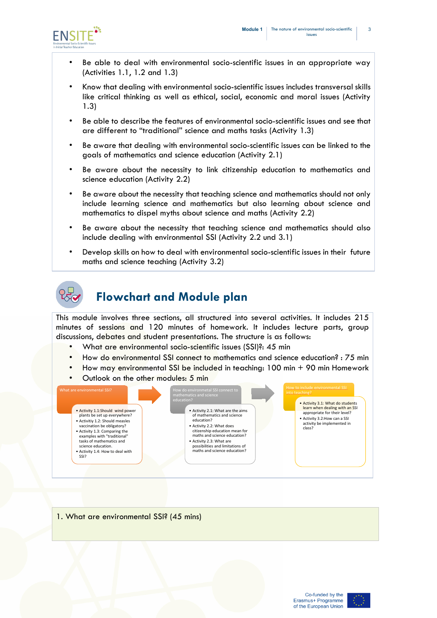3



- Be able to deal with environmental socio-scientific issues in an appropriate way (Activities 1.1, 1.2 and 1.3)
- Know that dealing with environmental socio-scientific issues includes transversal skills like critical thinking as well as ethical, social, economic and moral issues (Activity 1.3)
- Be able to describe the features of environmental socio-scientific issues and see that are different to "traditional" science and maths tasks (Activity 1.3)
- Be aware that dealing with environmental socio-scientific issues can be linked to the goals of mathematics and science education (Activity 2.1)
- Be aware about the necessity to link citizenship education to mathematics and science education (Activity 2.2)
- Be aware about the necessity that teaching science and mathematics should not only include learning science and mathematics but also learning about science and mathematics to dispel myths about science and maths (Activity 2.2)
- Be aware about the necessity that teaching science and mathematics should also include dealing with environmental SSI (Activity 2.2 und 3.1)
- Develop skills on how to deal with environmental socio-scientific issues in their future maths and science teaching (Activity 3.2)



### **Flowchart and Module plan**

This module involves three sections, all structured into several activities. It includes 215 minutes of sessions and 120 minutes of homework. It includes lecture parts, group discussions, debates and student presentations. The structure is as follows:

- What are environmental socio-scientific issues (SSI)?: 45 min
- How do environmental SSI connect to mathematics and science education? : 75 min
- How may environmental SSI be included in teaching: 100 min + 90 min Homework
- Outlook on the other modules: 5 min



1. What are environmental SSI? (45 mins)

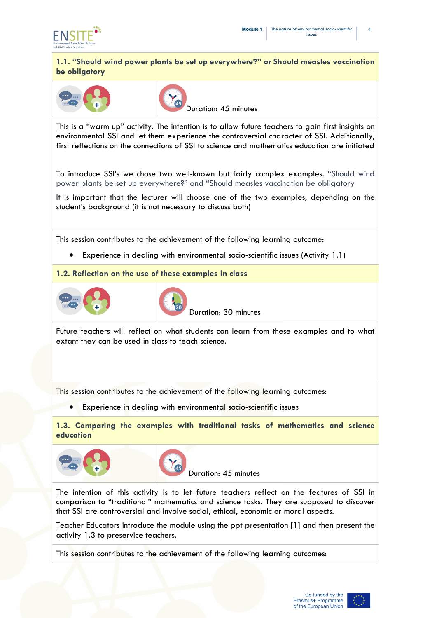

**1.1. "Should wind power plants be set up everywhere?" or Should measles vaccination be obligatory**





Duration: 45 minutes

This is a "warm up" activity. The intention is to allow future teachers to gain first insights on environmental SSI and let them experience the controversial character of SSI. Additionally, first reflections on the connections of SSI to science and mathematics education are initiated

To introduce SSI's we chose two well-known but fairly complex examples. "Should wind power plants be set up everywhere?" and "Should measles vaccination be obligatory

It is important that the lecturer will choose one of the two examples, depending on the student's background (it is not necessary to discuss both)

This session contributes to the achievement of the following learning outcome:

• Experience in dealing with environmental socio-scientific issues (Activity 1.1)

**1.2. Reflection on the use of these examples in class**





Duration: 30 minutes

Future teachers will reflect on what students can learn from these examples and to what extant they can be used in class to teach science.

This session contributes to the achievement of the following learning outcomes:

• Experience in dealing with environmental socio-scientific issues

**1.3. Comparing the examples with traditional tasks of mathematics and science education**





Duration: 45 minutes

The intention of this activity is to let future teachers reflect on the features of SSI in comparison to "traditional" mathematics and science tasks. They are supposed to discover that SSI are controversial and involve social, ethical, economic or moral aspects.

Teacher Educators introduce the module using the ppt presentation [1] and then present the activity 1.3 to preservice teachers.

This session contributes to the achievement of the following learning outcomes:

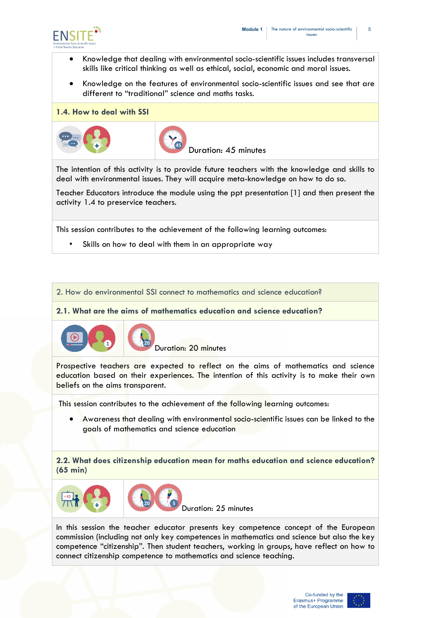

- Knowledge that dealing with environmental socio-scientific issues includes transversal skills like critical thinking as well as ethical, social, economic and moral issues.
- Knowledge on the features of environmental socio-scientific issues and see that are different to "traditional" science and maths tasks.
- **1.4. How to deal with SSI**





Duration: 45 minutes

The intention of this activity is to provide future teachers with the knowledge and skills to deal with environmental issues. They will acquire meta-knowledge on how to do so.

Teacher Educators introduce the module using the ppt presentation [1] and then present the activity 1.4 to preservice teachers.

This session contributes to the achievement of the following learning outcomes:

Skills on how to deal with them in an appropriate way

2. How do environmental SSI connect to mathematics and science education?

**2.1. What are the aims of mathematics education and science education?**



Duration: 20 minutes

Prospective teachers are expected to reflect on the aims of mathematics and science education based on their experiences. The intention of this activity is to make their own beliefs on the aims transparent.

This session contributes to the achievement of the following learning outcomes:

• Awareness that dealing with environmental socio-scientific issues can be linked to the goals of mathematics and science education

**2.2. What does citizenship education mean for maths education and science education? (65 min)**



In this session the teacher educator presents key competence concept of the European commission (including not only key competences in mathematics and science but also the key competence "citizenship". Then student teachers, working in groups, have reflect on how to connect citizenship competence to mathematics and science teaching.

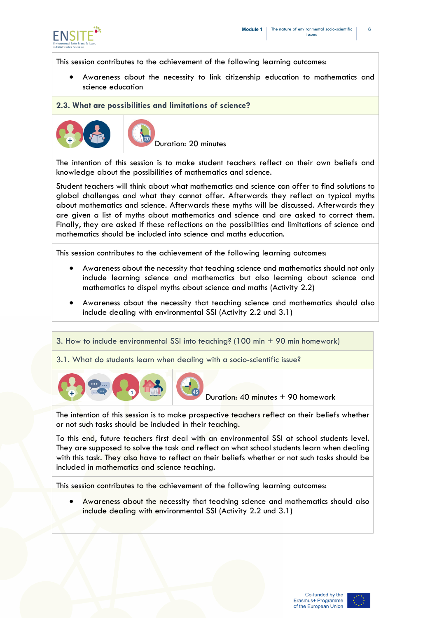

This session contributes to the achievement of the following learning outcomes:

• Awareness about the necessity to link citizenship education to mathematics and science education

#### **2.3. What are possibilities and limitations of science?**





Duration: 20 minutes

The intention of this session is to make student teachers reflect on their own beliefs and knowledge about the possibilities of mathematics and science.

Student teachers will think about what mathematics and science can offer to find solutions to global challenges and what they cannot offer. Afterwards they reflect on typical myths about mathematics and science. Afterwards these myths will be discussed. Afterwards they are given a list of myths about mathematics and science and are asked to correct them. Finally, they are asked if these reflections on the possibilities and limitations of science and mathematics should be included into science and maths education.

This session contributes to the achievement of the following learning outcomes:

- Awareness about the necessity that teaching science and mathematics should not only include learning science and mathematics but also learning about science and mathematics to dispel myths about science and maths (Activity 2.2)
- Awareness about the necessity that teaching science and mathematics should also include dealing with environmental SSI (Activity 2.2 und 3.1)
- 3. How to include environmental SSI into teaching? (100 min + 90 min homework)
- 3.1. What do students learn when dealing with a socio-scientific issue?



Duration: 40 minutes + 90 homework

The intention of this session is to make prospective teachers reflect on their beliefs whether or not such tasks should be included in their teaching.

To this end, future teachers first deal with an environmental SSI at school students level. They are supposed to solve the task and reflect on what school students learn when dealing with this task. They also have to reflect on their beliefs whether or not such tasks should be included in mathematics and science teaching.

This session contributes to the achievement of the following learning outcomes:

• Awareness about the necessity that teaching science and mathematics should also include dealing with environmental SSI (Activity 2.2 und 3.1)

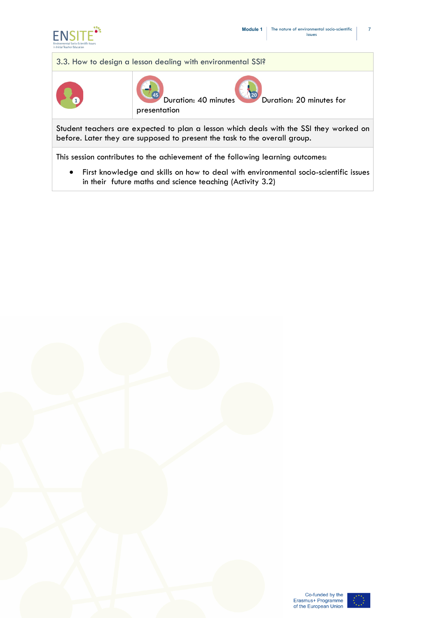





Co-funded by the<br>Erasmus+ Programme<br>of the European Union

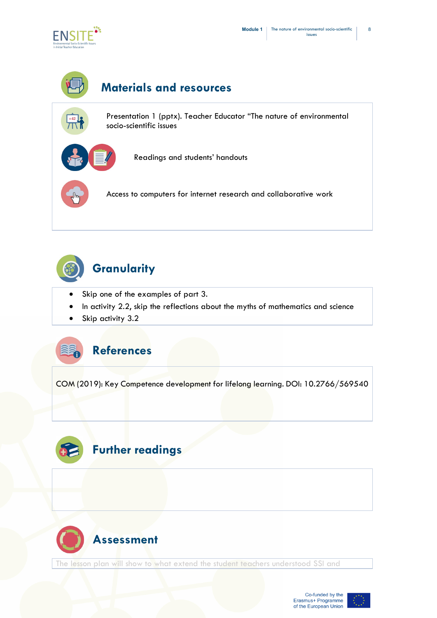

# **Materials and resources**

Presentation 1 (pptx). Teacher Educator "The nature of environmental socio-scientific issues



Readings and students' handouts

Access to computers for internet research and collaborative work



### **Granularity**

- Skip one of the examples of part 3.
- In activity 2.2, skip the reflections about the myths of mathematics and science
- Skip activity 3.2

## **References**

COM (2019): Key Competence development for lifelong learning. DOI: 10.2766/569540





The lesson plan will show to what extend the student teachers understood SSI and